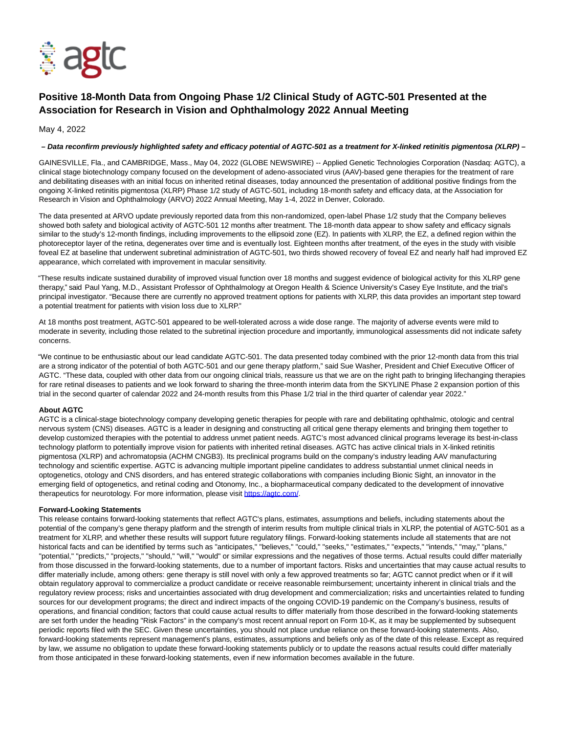

## **Positive 18-Month Data from Ongoing Phase 1/2 Clinical Study of AGTC-501 Presented at the Association for Research in Vision and Ophthalmology 2022 Annual Meeting**

May 4, 2022

## **– Data reconfirm previously highlighted safety and efficacy potential of AGTC-501 as a treatment for X-linked retinitis pigmentosa (XLRP) –**

GAINESVILLE, Fla., and CAMBRIDGE, Mass., May 04, 2022 (GLOBE NEWSWIRE) -- Applied Genetic Technologies Corporation (Nasdaq: AGTC), a clinical stage biotechnology company focused on the development of adeno-associated virus (AAV)-based gene therapies for the treatment of rare and debilitating diseases with an initial focus on inherited retinal diseases, today announced the presentation of additional positive findings from the ongoing X-linked retinitis pigmentosa (XLRP) Phase 1/2 study of AGTC-501, including 18-month safety and efficacy data, at the Association for Research in Vision and Ophthalmology (ARVO) 2022 Annual Meeting, May 1-4, 2022 in Denver, Colorado.

The data presented at ARVO update previously reported data from this non-randomized, open-label Phase 1/2 study that the Company believes showed both safety and biological activity of AGTC-501 12 months after treatment. The 18-month data appear to show safety and efficacy signals similar to the study's 12-month findings, including improvements to the ellipsoid zone (EZ). In patients with XLRP, the EZ, a defined region within the photoreceptor layer of the retina, degenerates over time and is eventually lost. Eighteen months after treatment, of the eyes in the study with visible foveal EZ at baseline that underwent subretinal administration of AGTC-501, two thirds showed recovery of foveal EZ and nearly half had improved EZ appearance, which correlated with improvement in macular sensitivity.

"These results indicate sustained durability of improved visual function over 18 months and suggest evidence of biological activity for this XLRP gene therapy," said Paul Yang, M.D., Assistant Professor of Ophthalmology at Oregon Health & Science University's Casey Eye Institute, and the trial's principal investigator. "Because there are currently no approved treatment options for patients with XLRP, this data provides an important step toward a potential treatment for patients with vision loss due to XLRP."

At 18 months post treatment, AGTC-501 appeared to be well-tolerated across a wide dose range. The majority of adverse events were mild to moderate in severity, including those related to the subretinal injection procedure and importantly, immunological assessments did not indicate safety concerns.

"We continue to be enthusiastic about our lead candidate AGTC-501. The data presented today combined with the prior 12-month data from this trial are a strong indicator of the potential of both AGTC-501 and our gene therapy platform," said Sue Washer, President and Chief Executive Officer of AGTC. "These data, coupled with other data from our ongoing clinical trials, reassure us that we are on the right path to bringing lifechanging therapies for rare retinal diseases to patients and we look forward to sharing the three-month interim data from the SKYLINE Phase 2 expansion portion of this trial in the second quarter of calendar 2022 and 24-month results from this Phase 1/2 trial in the third quarter of calendar year 2022."

## **About AGTC**

AGTC is a clinical-stage biotechnology company developing genetic therapies for people with rare and debilitating ophthalmic, otologic and central nervous system (CNS) diseases. AGTC is a leader in designing and constructing all critical gene therapy elements and bringing them together to develop customized therapies with the potential to address unmet patient needs. AGTC's most advanced clinical programs leverage its best-in-class technology platform to potentially improve vision for patients with inherited retinal diseases. AGTC has active clinical trials in X-linked retinitis pigmentosa (XLRP) and achromatopsia (ACHM CNGB3). Its preclinical programs build on the company's industry leading AAV manufacturing technology and scientific expertise. AGTC is advancing multiple important pipeline candidates to address substantial unmet clinical needs in optogenetics, otology and CNS disorders, and has entered strategic collaborations with companies including Bionic Sight, an innovator in the emerging field of optogenetics, and retinal coding and Otonomy, Inc., a biopharmaceutical company dedicated to the development of innovative therapeutics for neurotology. For more information, please visit [https://agtc.com/.](https://www.globenewswire.com/Tracker?data=17J1wACMO4qssmutbfKLWwq5ljDYFsPdP6lUnfFnKidzuMqoCVxp3uXoR_xw5SMf0C9fsoo7iuG3drbQhBHdgw==)

## **Forward-Looking Statements**

This release contains forward-looking statements that reflect AGTC's plans, estimates, assumptions and beliefs, including statements about the potential of the company's gene therapy platform and the strength of interim results from multiple clinical trials in XLRP, the potential of AGTC-501 as a treatment for XLRP, and whether these results will support future regulatory filings. Forward-looking statements include all statements that are not historical facts and can be identified by terms such as "anticipates," "believes," "could," "seeks," "estimates," "expects," "intends," "may," "plans," "potential," "predicts," "projects," "should," "will," "would" or similar expressions and the negatives of those terms. Actual results could differ materially from those discussed in the forward-looking statements, due to a number of important factors. Risks and uncertainties that may cause actual results to differ materially include, among others: gene therapy is still novel with only a few approved treatments so far; AGTC cannot predict when or if it will obtain regulatory approval to commercialize a product candidate or receive reasonable reimbursement; uncertainty inherent in clinical trials and the regulatory review process; risks and uncertainties associated with drug development and commercialization; risks and uncertainties related to funding sources for our development programs; the direct and indirect impacts of the ongoing COVID-19 pandemic on the Company's business, results of operations, and financial condition; factors that could cause actual results to differ materially from those described in the forward-looking statements are set forth under the heading "Risk Factors" in the company's most recent annual report on Form 10-K, as it may be supplemented by subsequent periodic reports filed with the SEC. Given these uncertainties, you should not place undue reliance on these forward-looking statements. Also, forward-looking statements represent management's plans, estimates, assumptions and beliefs only as of the date of this release. Except as required by law, we assume no obligation to update these forward-looking statements publicly or to update the reasons actual results could differ materially from those anticipated in these forward-looking statements, even if new information becomes available in the future.